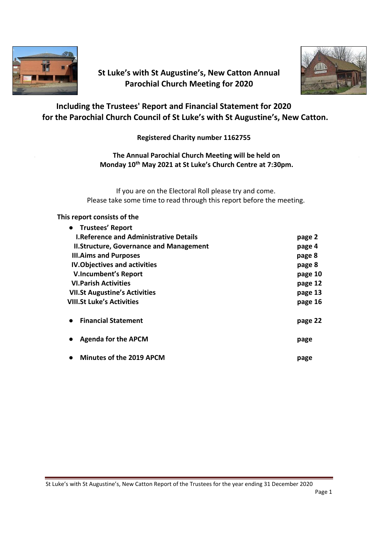

# **St Luke's with St Augustine's, New Catton Annual Parochial Church Meeting for 2020**



# **Including the Trustees' Report and Financial Statement for 2020 for the Parochial Church Council of St Luke's with St Augustine's, New Catton.**

**Registered Charity number 1162755**

**The Annual Parochial Church Meeting will be held on Monday 10th May 2021 at St Luke's Church Centre at 7:30pm.**

If you are on the Electoral Roll please try and come. Please take some time to read through this report before the meeting.

#### **This report consists of the**

| • Trustees' Report                             |         |
|------------------------------------------------|---------|
| <b>I.Reference and Administrative Details</b>  | page 2  |
| <b>II.Structure, Governance and Management</b> | page 4  |
| <b>III.Aims and Purposes</b>                   | page 8  |
| <b>IV. Objectives and activities</b>           | page 8  |
| <b>V.Incumbent's Report</b>                    | page 10 |
| <b>VI. Parish Activities</b>                   | page 12 |
| <b>VII.St Augustine's Activities</b>           | page 13 |
| <b>VIII.St Luke's Activities</b>               | page 16 |
| <b>Financial Statement</b>                     | page 22 |
| <b>Agenda for the APCM</b>                     | page    |
| <b>Minutes of the 2019 APCM</b>                | page    |

St Luke's with St Augustine's, New Catton Report of the Trustees for the year ending 31 December 2020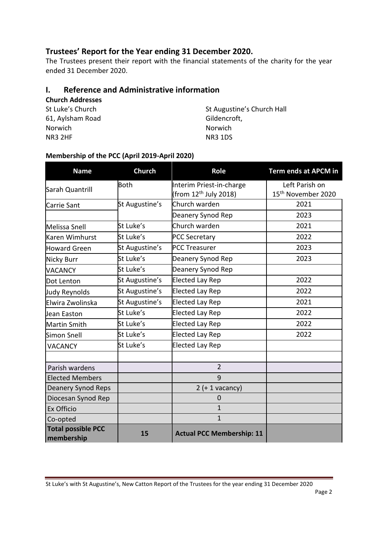# **Trustees' Report for the Year ending 31 December 2020.**

The Trustees present their report with the financial statements of the charity for the year ended 31 December 2020.

# **I. Reference and Administrative information**

| <b>Church Addresses</b> |  |
|-------------------------|--|
| St Luke's Church        |  |

61, Aylsham Road Gildencroft, Norwich Norwich NR3 2HF NR3 1DS

St Augustine's Church Hall

## **Membership of the PCC (April 2019-April 2020)**

| <b>Name</b>                             | <b>Church</b>  | Role                                                          | Term ends at APCM in                             |
|-----------------------------------------|----------------|---------------------------------------------------------------|--------------------------------------------------|
| Sarah Quantrill                         | <b>Both</b>    | Interim Priest-in-charge<br>(from 12 <sup>th</sup> July 2018) | Left Parish on<br>15 <sup>th</sup> November 2020 |
| Carrie Sant                             | St Augustine's | Church warden                                                 | 2021                                             |
|                                         |                | Deanery Synod Rep                                             | 2023                                             |
| Melissa Snell                           | St Luke's      | Church warden                                                 | 2021                                             |
| Karen Wimhurst                          | St Luke's      | <b>PCC Secretary</b>                                          | 2022                                             |
| <b>Howard Green</b>                     | St Augustine's | <b>PCC Treasurer</b>                                          | 2023                                             |
| <b>Nicky Burr</b>                       | St Luke's      | Deanery Synod Rep                                             | 2023                                             |
| <b>VACANCY</b>                          | St Luke's      | Deanery Synod Rep                                             |                                                  |
| Dot Lenton                              | St Augustine's | <b>Elected Lay Rep</b>                                        | 2022                                             |
| Judy Reynolds                           | St Augustine's | <b>Elected Lay Rep</b>                                        | 2022                                             |
| Elwira Zwolinska                        | St Augustine's | <b>Elected Lay Rep</b>                                        | 2021                                             |
| Jean Easton                             | St Luke's      | Elected Lay Rep                                               | 2022                                             |
| Martin Smith                            | St Luke's      | <b>Elected Lay Rep</b>                                        | 2022                                             |
| <b>Simon Snell</b>                      | St Luke's      | <b>Elected Lay Rep</b>                                        | 2022                                             |
| <b>VACANCY</b>                          | St Luke's      | <b>Elected Lay Rep</b>                                        |                                                  |
|                                         |                |                                                               |                                                  |
| Parish wardens                          |                | $\overline{2}$                                                |                                                  |
| <b>Elected Members</b>                  |                | 9                                                             |                                                  |
| <b>Deanery Synod Reps</b>               |                | $2 (+ 1$ vacancy)                                             |                                                  |
| Diocesan Synod Rep                      |                | $\Omega$                                                      |                                                  |
| Ex Officio                              |                | $\mathbf{1}$                                                  |                                                  |
| Co-opted                                |                | $\mathbf{1}$                                                  |                                                  |
| <b>Total possible PCC</b><br>membership | 15             | <b>Actual PCC Membership: 11</b>                              |                                                  |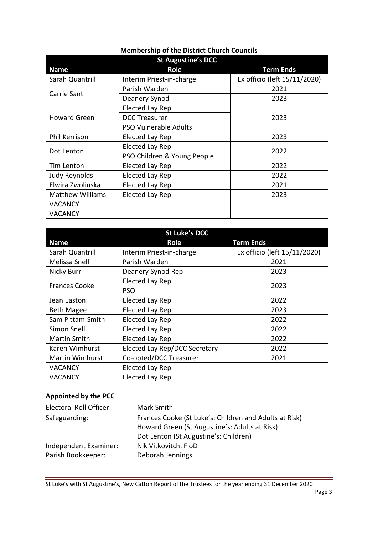# **Membership of the District Church Councils**

| <b>St Augustine's DCC</b> |                              |                              |
|---------------------------|------------------------------|------------------------------|
| <b>Name</b>               | Role                         | <b>Term Ends</b>             |
| Sarah Quantrill           | Interim Priest-in-charge     | Ex officio (left 15/11/2020) |
| Carrie Sant               | Parish Warden                | 2021                         |
|                           | Deanery Synod                | 2023                         |
| <b>Howard Green</b>       | <b>Elected Lay Rep</b>       |                              |
|                           | <b>DCC Treasurer</b>         | 2023                         |
|                           | <b>PSO Vulnerable Adults</b> |                              |
| <b>Phil Kerrison</b>      | Elected Lay Rep              | 2023                         |
| Dot Lenton                | Elected Lay Rep              | 2022                         |
|                           | PSO Children & Young People  |                              |
| Tim Lenton                | Elected Lay Rep              | 2022                         |
| Judy Reynolds             | Elected Lay Rep              | 2022                         |
| Elwira Zwolinska          | Elected Lay Rep              | 2021                         |
| <b>Matthew Williams</b>   | Elected Lay Rep              | 2023                         |
| <b>VACANCY</b>            |                              |                              |
| <b>VACANCY</b>            |                              |                              |

| <b>St Luke's DCC</b>   |                               |                              |
|------------------------|-------------------------------|------------------------------|
| <b>Name</b>            | <b>Role</b>                   | <b>Term Ends</b>             |
| Sarah Quantrill        | Interim Priest-in-charge      | Ex officio (left 15/11/2020) |
| Melissa Snell          | Parish Warden                 | 2021                         |
| Nicky Burr             | Deanery Synod Rep             | 2023                         |
| <b>Frances Cooke</b>   | Elected Lay Rep               | 2023                         |
|                        | <b>PSO</b>                    |                              |
| Jean Easton            | Elected Lay Rep               | 2022                         |
| <b>Beth Magee</b>      | Elected Lay Rep               | 2023                         |
| Sam Pittam-Smith       | Elected Lay Rep               | 2022                         |
| Simon Snell            | <b>Elected Lay Rep</b>        | 2022                         |
| Martin Smith           | Elected Lay Rep               | 2022                         |
| Karen Wimhurst         | Elected Lay Rep/DCC Secretary | 2022                         |
| <b>Martin Wimhurst</b> | Co-opted/DCC Treasurer        | 2021                         |
| <b>VACANCY</b>         | Elected Lay Rep               |                              |
| <b>VACANCY</b>         | Elected Lay Rep               |                              |

# **Appointed by the PCC**

| Electoral Roll Officer: | Mark Smith                                                                                              |
|-------------------------|---------------------------------------------------------------------------------------------------------|
| Safeguarding:           | Frances Cooke (St Luke's: Children and Adults at Risk)<br>Howard Green (St Augustine's: Adults at Risk) |
|                         | Dot Lenton (St Augustine's: Children)                                                                   |
| Independent Examiner:   | Nik Vitkovitch, FloD                                                                                    |
| Parish Bookkeeper:      | Deborah Jennings                                                                                        |

St Luke's with St Augustine's, New Catton Report of the Trustees for the year ending 31 December 2020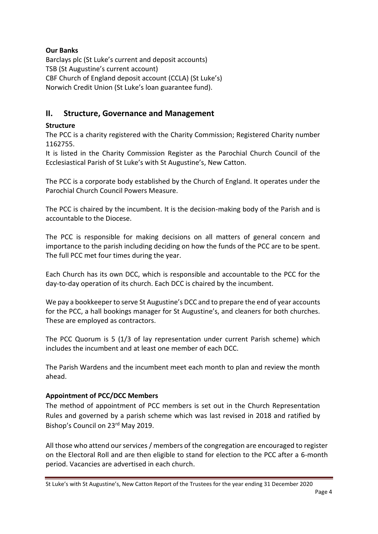# **Our Banks**

Barclays plc (St Luke's current and deposit accounts) TSB (St Augustine's current account) CBF Church of England deposit account (CCLA) (St Luke's) Norwich Credit Union (St Luke's loan guarantee fund).

# **II. Structure, Governance and Management**

# **Structure**

The PCC is a charity registered with the Charity Commission; Registered Charity number 1162755.

It is listed in the Charity Commission Register as the Parochial Church Council of the Ecclesiastical Parish of St Luke's with St Augustine's, New Catton.

The PCC is a corporate body established by the Church of England. It operates under the Parochial Church Council Powers Measure.

The PCC is chaired by the incumbent. It is the decision-making body of the Parish and is accountable to the Diocese.

The PCC is responsible for making decisions on all matters of general concern and importance to the parish including deciding on how the funds of the PCC are to be spent. The full PCC met four times during the year.

Each Church has its own DCC, which is responsible and accountable to the PCC for the day-to-day operation of its church. Each DCC is chaired by the incumbent.

We pay a bookkeeper to serve St Augustine's DCC and to prepare the end of year accounts for the PCC, a hall bookings manager for St Augustine's, and cleaners for both churches. These are employed as contractors.

The PCC Quorum is 5 (1/3 of lay representation under current Parish scheme) which includes the incumbent and at least one member of each DCC.

The Parish Wardens and the incumbent meet each month to plan and review the month ahead.

## **Appointment of PCC/DCC Members**

The method of appointment of PCC members is set out in the Church Representation Rules and governed by a parish scheme which was last revised in 2018 and ratified by Bishop's Council on 23rd May 2019.

All those who attend our services / members of the congregation are encouraged to register on the Electoral Roll and are then eligible to stand for election to the PCC after a 6-month period. Vacancies are advertised in each church.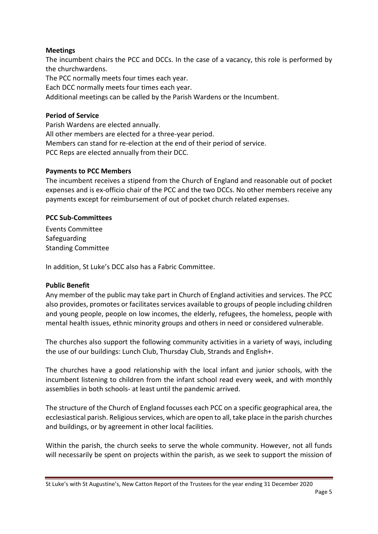## **Meetings**

The incumbent chairs the PCC and DCCs. In the case of a vacancy, this role is performed by the churchwardens.

The PCC normally meets four times each year.

Each DCC normally meets four times each year.

Additional meetings can be called by the Parish Wardens or the Incumbent.

#### **Period of Service**

Parish Wardens are elected annually. All other members are elected for a three-year period. Members can stand for re-election at the end of their period of service. PCC Reps are elected annually from their DCC.

#### **Payments to PCC Members**

The incumbent receives a stipend from the Church of England and reasonable out of pocket expenses and is ex-officio chair of the PCC and the two DCCs. No other members receive any payments except for reimbursement of out of pocket church related expenses.

#### **PCC Sub-Committees**

Events Committee Safeguarding Standing Committee

In addition, St Luke's DCC also has a Fabric Committee.

#### **Public Benefit**

Any member of the public may take part in Church of England activities and services. The PCC also provides, promotes or facilitates services available to groups of people including children and young people, people on low incomes, the elderly, refugees, the homeless, people with mental health issues, ethnic minority groups and others in need or considered vulnerable.

The churches also support the following community activities in a variety of ways, including the use of our buildings: Lunch Club, Thursday Club, Strands and English+.

The churches have a good relationship with the local infant and junior schools, with the incumbent listening to children from the infant school read every week, and with monthly assemblies in both schools- at least until the pandemic arrived.

The structure of the Church of England focusses each PCC on a specific geographical area, the ecclesiastical parish. Religious services, which are open to all, take place in the parish churches and buildings, or by agreement in other local facilities.

Within the parish, the church seeks to serve the whole community. However, not all funds will necessarily be spent on projects within the parish, as we seek to support the mission of

St Luke's with St Augustine's, New Catton Report of the Trustees for the year ending 31 December 2020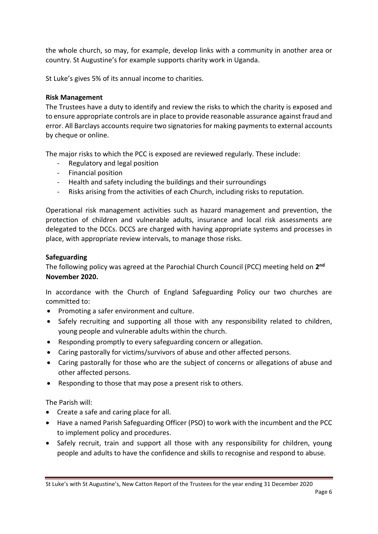the whole church, so may, for example, develop links with a community in another area or country. St Augustine's for example supports charity work in Uganda.

St Luke's gives 5% of its annual income to charities.

## **Risk Management**

The Trustees have a duty to identify and review the risks to which the charity is exposed and to ensure appropriate controls are in place to provide reasonable assurance against fraud and error. All Barclays accounts require two signatories for making payments to external accounts by cheque or online.

The major risks to which the PCC is exposed are reviewed regularly. These include:

- Regulatory and legal position
- Financial position
- Health and safety including the buildings and their surroundings
- Risks arising from the activities of each Church, including risks to reputation.

Operational risk management activities such as hazard management and prevention, the protection of children and vulnerable adults, insurance and local risk assessments are delegated to the DCCs. DCCS are charged with having appropriate systems and processes in place, with appropriate review intervals, to manage those risks.

## **Safeguarding**

The following policy was agreed at the Parochial Church Council (PCC) meeting held on **2 nd November 2020.**

In accordance with the Church of England Safeguarding Policy our two churches are committed to:

- Promoting a safer environment and culture.
- Safely recruiting and supporting all those with any responsibility related to children, young people and vulnerable adults within the church.
- Responding promptly to every safeguarding concern or allegation.
- Caring pastorally for victims/survivors of abuse and other affected persons.
- Caring pastorally for those who are the subject of concerns or allegations of abuse and other affected persons.
- Responding to those that may pose a present risk to others.

The Parish will:

- Create a safe and caring place for all.
- Have a named Parish Safeguarding Officer (PSO) to work with the incumbent and the PCC to implement policy and procedures.
- Safely recruit, train and support all those with any responsibility for children, young people and adults to have the confidence and skills to recognise and respond to abuse.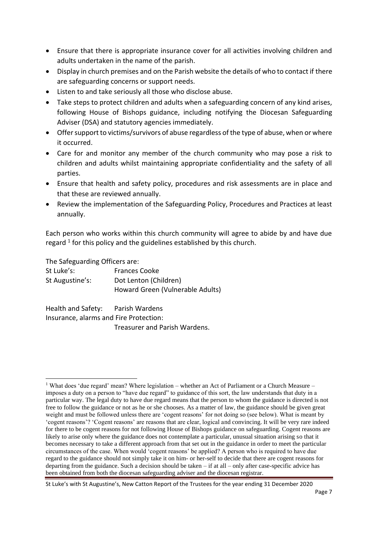- Ensure that there is appropriate insurance cover for all activities involving children and adults undertaken in the name of the parish.
- Display in church premises and on the Parish website the details of who to contact if there are safeguarding concerns or support needs.
- Listen to and take seriously all those who disclose abuse.
- Take steps to protect children and adults when a safeguarding concern of any kind arises, following House of Bishops guidance, including notifying the Diocesan Safeguarding Adviser (DSA) and statutory agencies immediately.
- Offer support to victims/survivors of abuse regardless of the type of abuse, when or where it occurred.
- Care for and monitor any member of the church community who may pose a risk to children and adults whilst maintaining appropriate confidentiality and the safety of all parties.
- Ensure that health and safety policy, procedures and risk assessments are in place and that these are reviewed annually.
- Review the implementation of the Safeguarding Policy, Procedures and Practices at least annually.

Each person who works within this church community will agree to abide by and have due regard  $1$  for this policy and the guidelines established by this church.

The Safeguarding Officers are:

| St Luke's:      | <b>Frances Cooke</b>             |
|-----------------|----------------------------------|
| St Augustine's: | Dot Lenton (Children)            |
|                 | Howard Green (Vulnerable Adults) |

Health and Safety: Parish Wardens Insurance, alarms and Fire Protection: Treasurer and Parish Wardens.

<sup>&</sup>lt;sup>1</sup> What does 'due regard' mean? Where legislation – whether an Act of Parliament or a Church Measure – imposes a duty on a person to "have due regard" to guidance of this sort, the law understands that duty in a particular way. The legal duty to have due regard means that the person to whom the guidance is directed is not free to follow the guidance or not as he or she chooses. As a matter of law, the guidance should be given great weight and must be followed unless there are 'cogent reasons' for not doing so (see below). What is meant by 'cogent reasons'? 'Cogent reasons' are reasons that are clear, logical and convincing. It will be very rare indeed for there to be cogent reasons for not following House of Bishops guidance on safeguarding. Cogent reasons are likely to arise only where the guidance does not contemplate a particular, unusual situation arising so that it becomes necessary to take a different approach from that set out in the guidance in order to meet the particular circumstances of the case. When would 'cogent reasons' be applied? A person who is required to have due regard to the guidance should not simply take it on him- or her-self to decide that there are cogent reasons for departing from the guidance. Such a decision should be taken  $-$  if at all  $-$  only after case-specific advice has been obtained from both the diocesan safeguarding adviser and the diocesan registrar.

St Luke's with St Augustine's, New Catton Report of the Trustees for the year ending 31 December 2020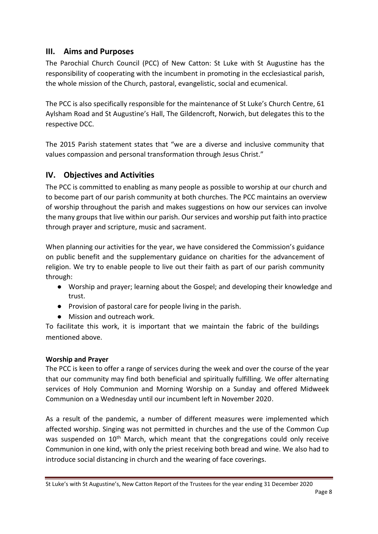# **III. Aims and Purposes**

The Parochial Church Council (PCC) of New Catton: St Luke with St Augustine has the responsibility of cooperating with the incumbent in promoting in the ecclesiastical parish, the whole mission of the Church, pastoral, evangelistic, social and ecumenical.

The PCC is also specifically responsible for the maintenance of St Luke's Church Centre, 61 Aylsham Road and St Augustine's Hall, The Gildencroft, Norwich, but delegates this to the respective DCC.

The 2015 Parish statement states that "we are a diverse and inclusive community that values compassion and personal transformation through Jesus Christ."

# **IV. Objectives and Activities**

The PCC is committed to enabling as many people as possible to worship at our church and to become part of our parish community at both churches. The PCC maintains an overview of worship throughout the parish and makes suggestions on how our services can involve the many groups that live within our parish. Our services and worship put faith into practice through prayer and scripture, music and sacrament.

When planning our activities for the year, we have considered the Commission's guidance on public benefit and the supplementary guidance on charities for the advancement of religion. We try to enable people to live out their faith as part of our parish community through:

- Worship and prayer; learning about the Gospel; and developing their knowledge and trust.
- Provision of pastoral care for people living in the parish.
- Mission and outreach work.

To facilitate this work, it is important that we maintain the fabric of the buildings mentioned above.

## **Worship and Prayer**

The PCC is keen to offer a range of services during the week and over the course of the year that our community may find both beneficial and spiritually fulfilling. We offer alternating services of Holy Communion and Morning Worship on a Sunday and offered Midweek Communion on a Wednesday until our incumbent left in November 2020.

As a result of the pandemic, a number of different measures were implemented which affected worship. Singing was not permitted in churches and the use of the Common Cup was suspended on  $10<sup>th</sup>$  March, which meant that the congregations could only receive Communion in one kind, with only the priest receiving both bread and wine. We also had to introduce social distancing in church and the wearing of face coverings.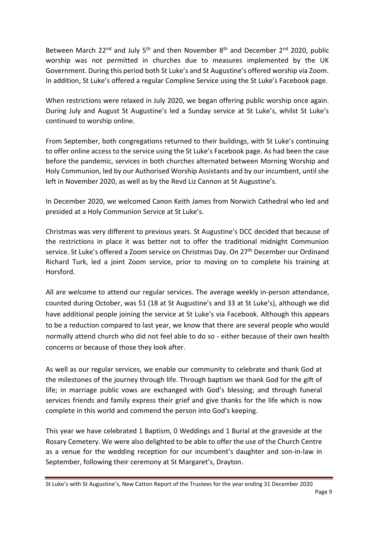Between March 22<sup>nd</sup> and July 5<sup>th</sup> and then November 8<sup>th</sup> and December 2<sup>nd</sup> 2020, public worship was not permitted in churches due to measures implemented by the UK Government. During this period both St Luke's and St Augustine's offered worship via Zoom. In addition, St Luke's offered a regular Compline Service using the St Luke's Facebook page.

When restrictions were relaxed in July 2020, we began offering public worship once again. During July and August St Augustine's led a Sunday service at St Luke's, whilst St Luke's continued to worship online.

From September, both congregations returned to their buildings, with St Luke's continuing to offer online access to the service using the St Luke's Facebook page. As had been the case before the pandemic, services in both churches alternated between Morning Worship and Holy Communion, led by our Authorised Worship Assistants and by our incumbent, until she left in November 2020, as well as by the Revd Liz Cannon at St Augustine's.

In December 2020, we welcomed Canon Keith James from Norwich Cathedral who led and presided at a Holy Communion Service at St Luke's.

Christmas was very different to previous years. St Augustine's DCC decided that because of the restrictions in place it was better not to offer the traditional midnight Communion service. St Luke's offered a Zoom service on Christmas Day. On 27<sup>th</sup> December our Ordinand Richard Turk, led a joint Zoom service, prior to moving on to complete his training at Horsford.

All are welcome to attend our regular services. The average weekly in-person attendance, counted during October, was 51 (18 at St Augustine's and 33 at St Luke's), although we did have additional people joining the service at St Luke's via Facebook. Although this appears to be a reduction compared to last year, we know that there are several people who would normally attend church who did not feel able to do so - either because of their own health concerns or because of those they look after.

As well as our regular services, we enable our community to celebrate and thank God at the milestones of the journey through life. Through baptism we thank God for the gift of life; in marriage public vows are exchanged with God's blessing; and through funeral services friends and family express their grief and give thanks for the life which is now complete in this world and commend the person into God's keeping.

This year we have celebrated 1 Baptism, 0 Weddings and 1 Burial at the graveside at the Rosary Cemetery. We were also delighted to be able to offer the use of the Church Centre as a venue for the wedding reception for our incumbent's daughter and son-in-law in September, following their ceremony at St Margaret's, Drayton.

St Luke's with St Augustine's, New Catton Report of the Trustees for the year ending 31 December 2020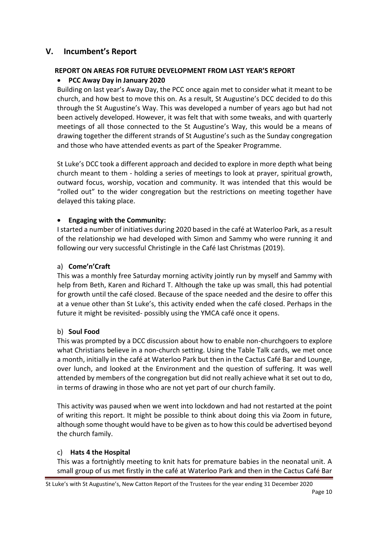# **V. Incumbent's Report**

## **REPORT ON AREAS FOR FUTURE DEVELOPMENT FROM LAST YEAR'S REPORT**

# • **PCC Away Day in January 2020**

Building on last year's Away Day, the PCC once again met to consider what it meant to be church, and how best to move this on. As a result, St Augustine's DCC decided to do this through the St Augustine's Way. This was developed a number of years ago but had not been actively developed. However, it was felt that with some tweaks, and with quarterly meetings of all those connected to the St Augustine's Way, this would be a means of drawing together the different strands of St Augustine's such as the Sunday congregation and those who have attended events as part of the Speaker Programme.

St Luke's DCC took a different approach and decided to explore in more depth what being church meant to them - holding a series of meetings to look at prayer, spiritual growth, outward focus, worship, vocation and community. It was intended that this would be "rolled out" to the wider congregation but the restrictions on meeting together have delayed this taking place.

## • **Engaging with the Community:**

Istarted a number of initiatives during 2020 based in the café at Waterloo Park, as a result of the relationship we had developed with Simon and Sammy who were running it and following our very successful Christingle in the Café last Christmas (2019).

# a) **Come'n'Craft**

This was a monthly free Saturday morning activity jointly run by myself and Sammy with help from Beth, Karen and Richard T. Although the take up was small, this had potential for growth until the café closed. Because of the space needed and the desire to offer this at a venue other than St Luke's, this activity ended when the café closed. Perhaps in the future it might be revisited- possibly using the YMCA café once it opens.

## b) **Soul Food**

This was prompted by a DCC discussion about how to enable non-churchgoers to explore what Christians believe in a non-church setting. Using the Table Talk cards, we met once a month, initially in the café at Waterloo Park but then in the Cactus Café Bar and Lounge, over lunch, and looked at the Environment and the question of suffering. It was well attended by members of the congregation but did not really achieve what it set out to do, in terms of drawing in those who are not yet part of our church family.

This activity was paused when we went into lockdown and had not restarted at the point of writing this report. It might be possible to think about doing this via Zoom in future, although some thought would have to be given as to how this could be advertised beyond the church family.

## c) **Hats 4 the Hospital**

This was a fortnightly meeting to knit hats for premature babies in the neonatal unit. A small group of us met firstly in the café at Waterloo Park and then in the Cactus Café Bar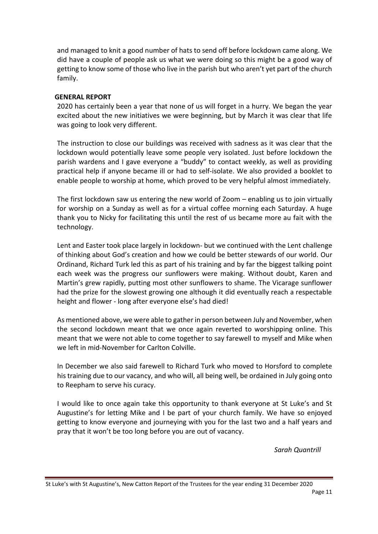and managed to knit a good number of hats to send off before lockdown came along. We did have a couple of people ask us what we were doing so this might be a good way of getting to know some of those who live in the parish but who aren't yet part of the church family.

#### **GENERAL REPORT**

2020 has certainly been a year that none of us will forget in a hurry. We began the year excited about the new initiatives we were beginning, but by March it was clear that life was going to look very different.

The instruction to close our buildings was received with sadness as it was clear that the lockdown would potentially leave some people very isolated. Just before lockdown the parish wardens and I gave everyone a "buddy" to contact weekly, as well as providing practical help if anyone became ill or had to self-isolate. We also provided a booklet to enable people to worship at home, which proved to be very helpful almost immediately.

The first lockdown saw us entering the new world of Zoom – enabling us to join virtually for worship on a Sunday as well as for a virtual coffee morning each Saturday. A huge thank you to Nicky for facilitating this until the rest of us became more au fait with the technology.

Lent and Easter took place largely in lockdown- but we continued with the Lent challenge of thinking about God's creation and how we could be better stewards of our world. Our Ordinand, Richard Turk led this as part of his training and by far the biggest talking point each week was the progress our sunflowers were making. Without doubt, Karen and Martin's grew rapidly, putting most other sunflowers to shame. The Vicarage sunflower had the prize for the slowest growing one although it did eventually reach a respectable height and flower - long after everyone else's had died!

As mentioned above, we were able to gather in person between July and November, when the second lockdown meant that we once again reverted to worshipping online. This meant that we were not able to come together to say farewell to myself and Mike when we left in mid-November for Carlton Colville.

In December we also said farewell to Richard Turk who moved to Horsford to complete his training due to our vacancy, and who will, all being well, be ordained in July going onto to Reepham to serve his curacy.

I would like to once again take this opportunity to thank everyone at St Luke's and St Augustine's for letting Mike and I be part of your church family. We have so enjoyed getting to know everyone and journeying with you for the last two and a half years and pray that it won't be too long before you are out of vacancy.

*Sarah Quantrill*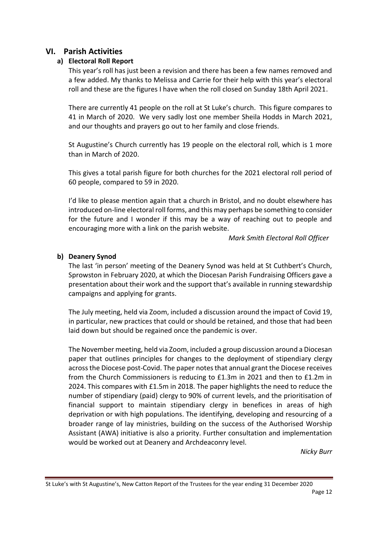# **VI. Parish Activities**

## **a) Electoral Roll Report**

This year's roll has just been a revision and there has been a few names removed and a few added. My thanks to Melissa and Carrie for their help with this year's electoral roll and these are the figures I have when the roll closed on Sunday 18th April 2021.

There are currently 41 people on the roll at St Luke's church. This figure compares to 41 in March of 2020. We very sadly lost one member Sheila Hodds in March 2021, and our thoughts and prayers go out to her family and close friends.

St Augustine's Church currently has 19 people on the electoral roll, which is 1 more than in March of 2020.

This gives a total parish figure for both churches for the 2021 electoral roll period of 60 people, compared to 59 in 2020.

I'd like to please mention again that a church in Bristol, and no doubt elsewhere has introduced on-line electoral roll forms, and this may perhaps be something to consider for the future and I wonder if this may be a way of reaching out to people and encouraging more with a link on the parish website.

*Mark Smith Electoral Roll Officer* 

#### **b) Deanery Synod**

The last 'in person' meeting of the Deanery Synod was held at St Cuthbert's Church, Sprowston in February 2020, at which the Diocesan Parish Fundraising Officers gave a presentation about their work and the support that's available in running stewardship campaigns and applying for grants.

The July meeting, held via Zoom, included a discussion around the impact of Covid 19, in particular, new practices that could or should be retained, and those that had been laid down but should be regained once the pandemic is over.

The November meeting, held via Zoom, included a group discussion around a Diocesan paper that outlines principles for changes to the deployment of stipendiary clergy across the Diocese post-Covid. The paper notes that annual grant the Diocese receives from the Church Commissioners is reducing to £1.3m in 2021 and then to £1.2m in 2024. This compares with £1.5m in 2018. The paper highlights the need to reduce the number of stipendiary (paid) clergy to 90% of current levels, and the prioritisation of financial support to maintain stipendiary clergy in benefices in areas of high deprivation or with high populations. The identifying, developing and resourcing of a broader range of lay ministries, building on the success of the Authorised Worship Assistant (AWA) initiative is also a priority. Further consultation and implementation would be worked out at Deanery and Archdeaconry level.

*Nicky Burr*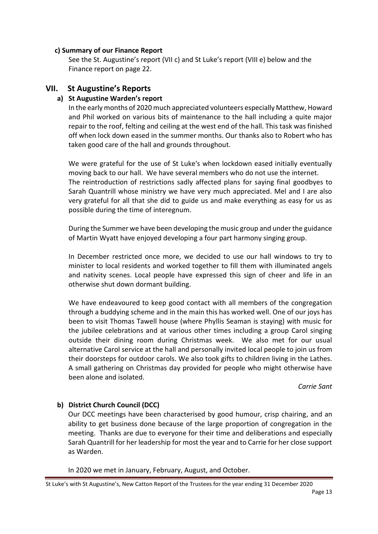#### **c) Summary of our Finance Report**

See the St. Augustine's report (VII c) and St Luke's report (VIII e) below and the Finance report on page 22.

# **VII. St Augustine's Reports**

# **a) St Augustine Warden's report**

In the early months of 2020 much appreciated volunteers especially Matthew, Howard and Phil worked on various bits of maintenance to the hall including a quite major repair to the roof, felting and ceiling at the west end of the hall. This task was finished off when lock down eased in the summer months. Our thanks also to Robert who has taken good care of the hall and grounds throughout.

We were grateful for the use of St Luke's when lockdown eased initially eventually moving back to our hall. We have several members who do not use the internet. The reintroduction of restrictions sadly affected plans for saying final goodbyes to Sarah Quantrill whose ministry we have very much appreciated. Mel and I are also very grateful for all that she did to guide us and make everything as easy for us as possible during the time of interegnum.

During the Summer we have been developing the music group and under the guidance of Martin Wyatt have enjoyed developing a four part harmony singing group.

In December restricted once more, we decided to use our hall windows to try to minister to local residents and worked together to fill them with illuminated angels and nativity scenes. Local people have expressed this sign of cheer and life in an otherwise shut down dormant building.

We have endeavoured to keep good contact with all members of the congregation through a buddying scheme and in the main this has worked well. One of our joys has been to visit Thomas Tawell house (where Phyllis Seaman is staying) with music for the jubilee celebrations and at various other times including a group Carol singing outside their dining room during Christmas week. We also met for our usual alternative Carol service at the hall and personally invited local people to join us from their doorsteps for outdoor carols. We also took gifts to children living in the Lathes. A small gathering on Christmas day provided for people who might otherwise have been alone and isolated.

*Carrie Sant*

## **b) District Church Council (DCC)**

Our DCC meetings have been characterised by good humour, crisp chairing, and an ability to get business done because of the large proportion of congregation in the meeting. Thanks are due to everyone for their time and deliberations and especially Sarah Quantrill for her leadership for most the year and to Carrie for her close support as Warden.

In 2020 we met in January, February, August, and October.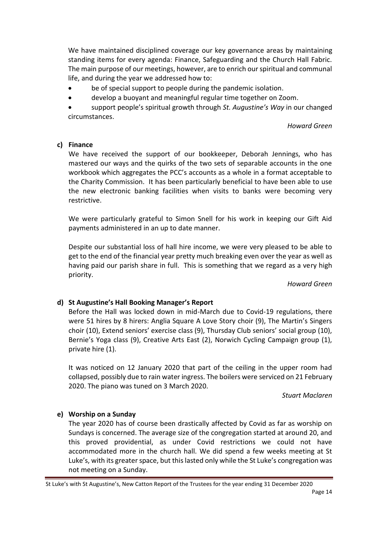We have maintained disciplined coverage our key governance areas by maintaining standing items for every agenda: Finance, Safeguarding and the Church Hall Fabric. The main purpose of our meetings, however, are to enrich our spiritual and communal life, and during the year we addressed how to:

- be of special support to people during the pandemic isolation.
- develop a buoyant and meaningful regular time together on Zoom.

• support people's spiritual growth through *St. Augustine's Way* in our changed circumstances.

*Howard Green*

#### **c) Finance**

We have received the support of our bookkeeper, Deborah Jennings, who has mastered our ways and the quirks of the two sets of separable accounts in the one workbook which aggregates the PCC's accounts as a whole in a format acceptable to the Charity Commission. It has been particularly beneficial to have been able to use the new electronic banking facilities when visits to banks were becoming very restrictive.

We were particularly grateful to Simon Snell for his work in keeping our Gift Aid payments administered in an up to date manner.

Despite our substantial loss of hall hire income, we were very pleased to be able to get to the end of the financial year pretty much breaking even over the year as well as having paid our parish share in full. This is something that we regard as a very high priority.

*Howard Green*

## **d) St Augustine's Hall Booking Manager's Report**

Before the Hall was locked down in mid-March due to Covid-19 regulations, there were 51 hires by 8 hirers: Anglia Square A Love Story choir (9), The Martin's Singers choir (10), Extend seniors' exercise class (9), Thursday Club seniors' social group (10), Bernie's Yoga class (9), Creative Arts East (2), Norwich Cycling Campaign group (1), private hire (1).

It was noticed on 12 January 2020 that part of the ceiling in the upper room had collapsed, possibly due to rain water ingress. The boilers were serviced on 21 February 2020. The piano was tuned on 3 March 2020.

*Stuart Maclaren*

## **e) Worship on a Sunday**

The year 2020 has of course been drastically affected by Covid as far as worship on Sundays is concerned. The average size of the congregation started at around 20, and this proved providential, as under Covid restrictions we could not have accommodated more in the church hall. We did spend a few weeks meeting at St Luke's, with its greater space, but this lasted only while the St Luke's congregation was not meeting on a Sunday.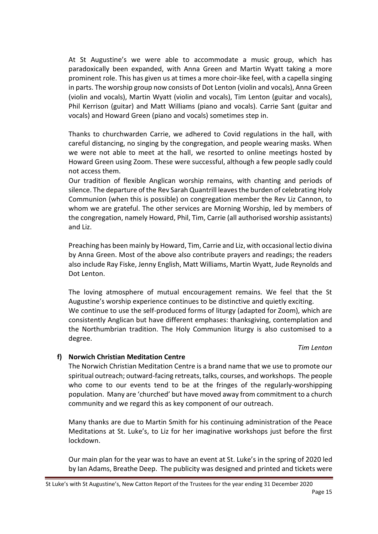At St Augustine's we were able to accommodate a music group, which has paradoxically been expanded, with Anna Green and Martin Wyatt taking a more prominent role. This has given us at times a more choir-like feel, with a capella singing in parts. The worship group now consists of Dot Lenton (violin and vocals), Anna Green (violin and vocals), Martin Wyatt (violin and vocals), Tim Lenton (guitar and vocals), Phil Kerrison (guitar) and Matt Williams (piano and vocals). Carrie Sant (guitar and vocals) and Howard Green (piano and vocals) sometimes step in.

Thanks to churchwarden Carrie, we adhered to Covid regulations in the hall, with careful distancing, no singing by the congregation, and people wearing masks. When we were not able to meet at the hall, we resorted to online meetings hosted by Howard Green using Zoom. These were successful, although a few people sadly could not access them.

Our tradition of flexible Anglican worship remains, with chanting and periods of silence. The departure of the Rev Sarah Quantrill leaves the burden of celebrating Holy Communion (when this is possible) on congregation member the Rev Liz Cannon, to whom we are grateful. The other services are Morning Worship, led by members of the congregation, namely Howard, Phil, Tim, Carrie (all authorised worship assistants) and Liz.

Preaching has been mainly by Howard, Tim, Carrie and Liz, with occasional lectio divina by Anna Green. Most of the above also contribute prayers and readings; the readers also include Ray Fiske, Jenny English, Matt Williams, Martin Wyatt, Jude Reynolds and Dot Lenton.

The loving atmosphere of mutual encouragement remains. We feel that the St Augustine's worship experience continues to be distinctive and quietly exciting. We continue to use the self-produced forms of liturgy (adapted for Zoom), which are consistently Anglican but have different emphases: thanksgiving, contemplation and the Northumbrian tradition. The Holy Communion liturgy is also customised to a degree.

#### *Tim Lenton*

#### **f) Norwich Christian Meditation Centre**

The Norwich Christian Meditation Centre is a brand name that we use to promote our spiritual outreach; outward-facing retreats, talks, courses, and workshops. The people who come to our events tend to be at the fringes of the regularly-worshipping population. Many are 'churched' but have moved away from commitment to a church community and we regard this as key component of our outreach.

Many thanks are due to Martin Smith for his continuing administration of the Peace Meditations at St. Luke's, to Liz for her imaginative workshops just before the first lockdown.

Our main plan for the year was to have an event at St. Luke's in the spring of 2020 led by Ian Adams, Breathe Deep. The publicity was designed and printed and tickets were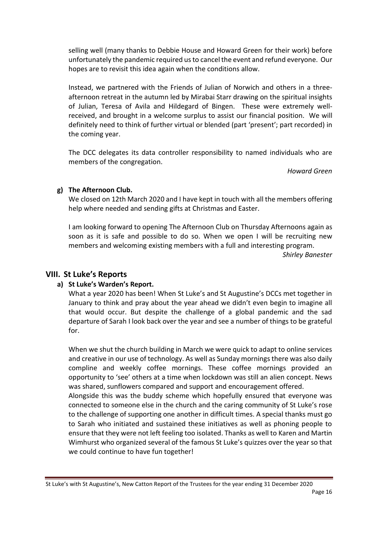selling well (many thanks to Debbie House and Howard Green for their work) before unfortunately the pandemic required us to cancel the event and refund everyone. Our hopes are to revisit this idea again when the conditions allow.

Instead, we partnered with the Friends of Julian of Norwich and others in a threeafternoon retreat in the autumn led by Mirabai Starr drawing on the spiritual insights of Julian, Teresa of Avila and Hildegard of Bingen. These were extremely wellreceived, and brought in a welcome surplus to assist our financial position. We will definitely need to think of further virtual or blended (part 'present'; part recorded) in the coming year.

The DCC delegates its data controller responsibility to named individuals who are members of the congregation.

*Howard Green*

#### **g) The Afternoon Club.**

We closed on 12th March 2020 and I have kept in touch with all the members offering help where needed and sending gifts at Christmas and Easter.

I am looking forward to opening The Afternoon Club on Thursday Afternoons again as soon as it is safe and possible to do so. When we open I will be recruiting new members and welcoming existing members with a full and interesting program.

*Shirley Banester*

## **VIII. St Luke's Reports**

## **a) St Luke's Warden's Report.**

What a year 2020 has been! When St Luke's and St Augustine's DCCs met together in January to think and pray about the year ahead we didn't even begin to imagine all that would occur. But despite the challenge of a global pandemic and the sad departure of Sarah I look back over the year and see a number of things to be grateful for.

When we shut the church building in March we were quick to adapt to online services and creative in our use of technology. As well as Sunday mornings there was also daily compline and weekly coffee mornings. These coffee mornings provided an opportunity to 'see' others at a time when lockdown was still an alien concept. News was shared, sunflowers compared and support and encouragement offered.

Alongside this was the buddy scheme which hopefully ensured that everyone was connected to someone else in the church and the caring community of St Luke's rose to the challenge of supporting one another in difficult times. A special thanks must go to Sarah who initiated and sustained these initiatives as well as phoning people to ensure that they were not left feeling too isolated. Thanks as well to Karen and Martin Wimhurst who organized several of the famous St Luke's quizzes over the year so that we could continue to have fun together!

St Luke's with St Augustine's, New Catton Report of the Trustees for the year ending 31 December 2020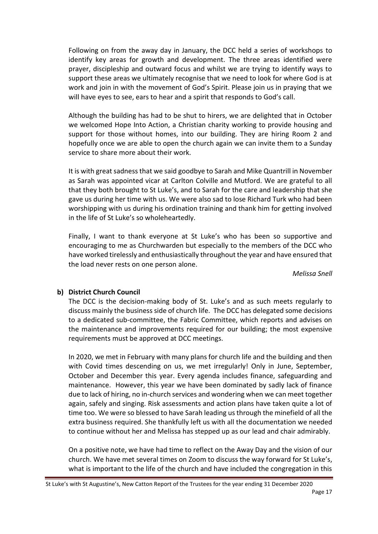Following on from the away day in January, the DCC held a series of workshops to identify key areas for growth and development. The three areas identified were prayer, discipleship and outward focus and whilst we are trying to identify ways to support these areas we ultimately recognise that we need to look for where God is at work and join in with the movement of God's Spirit. Please join us in praying that we will have eyes to see, ears to hear and a spirit that responds to God's call.

Although the building has had to be shut to hirers, we are delighted that in October we welcomed Hope Into Action, a Christian charity working to provide housing and support for those without homes, into our building. They are hiring Room 2 and hopefully once we are able to open the church again we can invite them to a Sunday service to share more about their work.

It is with great sadness that we said goodbye to Sarah and Mike Quantrill in November as Sarah was appointed vicar at Carlton Colville and Mutford. We are grateful to all that they both brought to St Luke's, and to Sarah for the care and leadership that she gave us during her time with us. We were also sad to lose Richard Turk who had been worshipping with us during his ordination training and thank him for getting involved in the life of St Luke's so wholeheartedly.

Finally, I want to thank everyone at St Luke's who has been so supportive and encouraging to me as Churchwarden but especially to the members of the DCC who have worked tirelessly and enthusiastically throughout the year and have ensured that the load never rests on one person alone.

*Melissa Snell*

## **b) District Church Council**

The DCC is the decision-making body of St. Luke's and as such meets regularly to discuss mainly the business side of church life. The DCC has delegated some decisions to a dedicated sub-committee, the Fabric Committee, which reports and advises on the maintenance and improvements required for our building; the most expensive requirements must be approved at DCC meetings.

In 2020, we met in February with many plans for church life and the building and then with Covid times descending on us, we met irregularly! Only in June, September, October and December this year. Every agenda includes finance, safeguarding and maintenance. However, this year we have been dominated by sadly lack of finance due to lack of hiring, no in-church services and wondering when we can meet together again, safely and singing. Risk assessments and action plans have taken quite a lot of time too. We were so blessed to have Sarah leading us through the minefield of all the extra business required. She thankfully left us with all the documentation we needed to continue without her and Melissa has stepped up as our lead and chair admirably.

On a positive note, we have had time to reflect on the Away Day and the vision of our church. We have met several times on Zoom to discuss the way forward for St Luke's, what is important to the life of the church and have included the congregation in this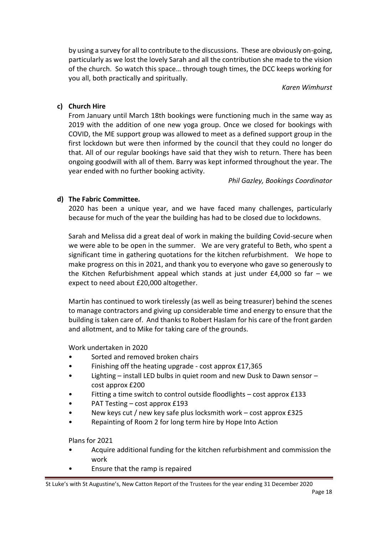by using a survey for all to contribute to the discussions. These are obviously on-going, particularly as we lost the lovely Sarah and all the contribution she made to the vision of the church. So watch this space… through tough times, the DCC keeps working for you all, both practically and spiritually.

*Karen Wimhurst*

## **c) Church Hire**

From January until March 18th bookings were functioning much in the same way as 2019 with the addition of one new yoga group. Once we closed for bookings with COVID, the ME support group was allowed to meet as a defined support group in the first lockdown but were then informed by the council that they could no longer do that. All of our regular bookings have said that they wish to return. There has been ongoing goodwill with all of them. Barry was kept informed throughout the year. The year ended with no further booking activity.

*Phil Gazley, Bookings Coordinator*

## **d) The Fabric Committee.**

2020 has been a unique year, and we have faced many challenges, particularly because for much of the year the building has had to be closed due to lockdowns.

Sarah and Melissa did a great deal of work in making the building Covid-secure when we were able to be open in the summer. We are very grateful to Beth, who spent a significant time in gathering quotations for the kitchen refurbishment. We hope to make progress on this in 2021, and thank you to everyone who gave so generously to the Kitchen Refurbishment appeal which stands at just under £4,000 so far – we expect to need about £20,000 altogether.

Martin has continued to work tirelessly (as well as being treasurer) behind the scenes to manage contractors and giving up considerable time and energy to ensure that the building is taken care of. And thanks to Robert Haslam for his care of the front garden and allotment, and to Mike for taking care of the grounds.

Work undertaken in 2020

- Sorted and removed broken chairs
- Finishing off the heating upgrade cost approx £17,365
- Lighting install LED bulbs in quiet room and new Dusk to Dawn sensor cost approx £200
- Fitting a time switch to control outside floodlights cost approx £133
- PAT Testing cost approx £193
- New keys cut / new key safe plus locksmith work cost approx £325
- Repainting of Room 2 for long term hire by Hope Into Action

Plans for 2021

- Acquire additional funding for the kitchen refurbishment and commission the work
- Ensure that the ramp is repaired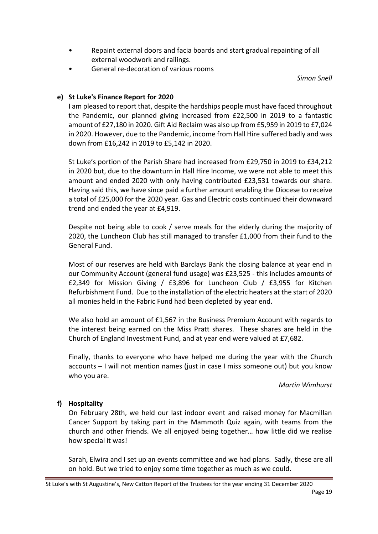- Repaint external doors and facia boards and start gradual repainting of all external woodwork and railings.
- General re-decoration of various rooms

*Simon Snell*

## **e) St Luke's Finance Report for 2020**

I am pleased to report that, despite the hardships people must have faced throughout the Pandemic, our planned giving increased from £22,500 in 2019 to a fantastic amount of £27,180 in 2020. Gift Aid Reclaim was also up from £5,959 in 2019 to £7,024 in 2020. However, due to the Pandemic, income from Hall Hire suffered badly and was down from £16,242 in 2019 to £5,142 in 2020.

St Luke's portion of the Parish Share had increased from £29,750 in 2019 to £34,212 in 2020 but, due to the downturn in Hall Hire Income, we were not able to meet this amount and ended 2020 with only having contributed £23,531 towards our share. Having said this, we have since paid a further amount enabling the Diocese to receive a total of £25,000 for the 2020 year. Gas and Electric costs continued their downward trend and ended the year at £4,919.

Despite not being able to cook / serve meals for the elderly during the majority of 2020, the Luncheon Club has still managed to transfer £1,000 from their fund to the General Fund.

Most of our reserves are held with Barclays Bank the closing balance at year end in our Community Account (general fund usage) was £23,525 - this includes amounts of £2,349 for Mission Giving / £3,896 for Luncheon Club / £3,955 for Kitchen Refurbishment Fund. Due to the installation of the electric heaters at the start of 2020 all monies held in the Fabric Fund had been depleted by year end.

We also hold an amount of £1,567 in the Business Premium Account with regards to the interest being earned on the Miss Pratt shares. These shares are held in the Church of England Investment Fund, and at year end were valued at £7,682.

Finally, thanks to everyone who have helped me during the year with the Church accounts – I will not mention names (just in case I miss someone out) but you know who you are.

#### *Martin Wimhurst*

#### **f) Hospitality**

On February 28th, we held our last indoor event and raised money for Macmillan Cancer Support by taking part in the Mammoth Quiz again, with teams from the church and other friends. We all enjoyed being together… how little did we realise how special it was!

Sarah, Elwira and I set up an events committee and we had plans. Sadly, these are all on hold. But we tried to enjoy some time together as much as we could.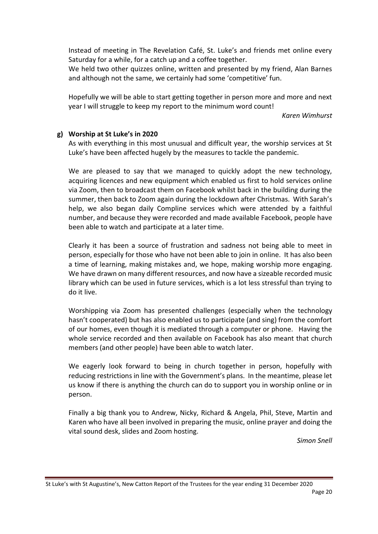Instead of meeting in The Revelation Café, St. Luke's and friends met online every Saturday for a while, for a catch up and a coffee together.

We held two other quizzes online, written and presented by my friend, Alan Barnes and although not the same, we certainly had some 'competitive' fun.

Hopefully we will be able to start getting together in person more and more and next year I will struggle to keep my report to the minimum word count!

*Karen Wimhurst*

#### **g) Worship at St Luke's in 2020**

As with everything in this most unusual and difficult year, the worship services at St Luke's have been affected hugely by the measures to tackle the pandemic.

We are pleased to say that we managed to quickly adopt the new technology, acquiring licences and new equipment which enabled us first to hold services online via Zoom, then to broadcast them on Facebook whilst back in the building during the summer, then back to Zoom again during the lockdown after Christmas. With Sarah's help, we also began daily Compline services which were attended by a faithful number, and because they were recorded and made available Facebook, people have been able to watch and participate at a later time.

Clearly it has been a source of frustration and sadness not being able to meet in person, especially for those who have not been able to join in online. It has also been a time of learning, making mistakes and, we hope, making worship more engaging. We have drawn on many different resources, and now have a sizeable recorded music library which can be used in future services, which is a lot less stressful than trying to do it live.

Worshipping via Zoom has presented challenges (especially when the technology hasn't cooperated) but has also enabled us to participate (and sing) from the comfort of our homes, even though it is mediated through a computer or phone. Having the whole service recorded and then available on Facebook has also meant that church members (and other people) have been able to watch later.

We eagerly look forward to being in church together in person, hopefully with reducing restrictions in line with the Government's plans. In the meantime, please let us know if there is anything the church can do to support you in worship online or in person.

Finally a big thank you to Andrew, Nicky, Richard & Angela, Phil, Steve, Martin and Karen who have all been involved in preparing the music, online prayer and doing the vital sound desk, slides and Zoom hosting.

*Simon Snell*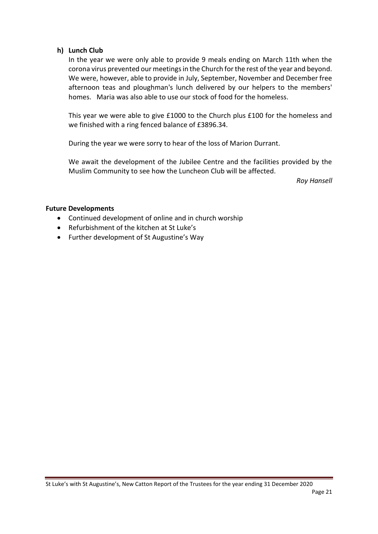#### **h) Lunch Club**

In the year we were only able to provide 9 meals ending on March 11th when the corona virus prevented our meetings in the Church for the rest of the year and beyond. We were, however, able to provide in July, September, November and December free afternoon teas and ploughman's lunch delivered by our helpers to the members' homes. Maria was also able to use our stock of food for the homeless.

This year we were able to give £1000 to the Church plus £100 for the homeless and we finished with a ring fenced balance of £3896.34.

During the year we were sorry to hear of the loss of Marion Durrant.

We await the development of the Jubilee Centre and the facilities provided by the Muslim Community to see how the Luncheon Club will be affected.

*Roy Hansell*

#### **Future Developments**

- Continued development of online and in church worship
- Refurbishment of the kitchen at St Luke's
- Further development of St Augustine's Way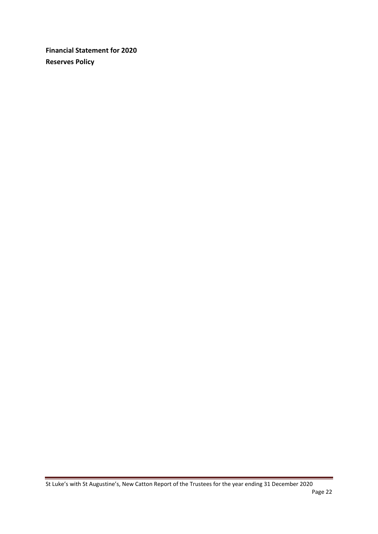**Financial Statement for 2020 Reserves Policy**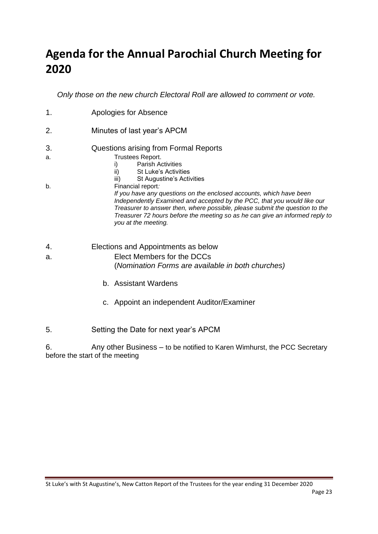# **Agenda for the Annual Parochial Church Meeting for 2020**

*Only those on the new church Electoral Roll are allowed to comment or vote.*

- 1. Apologies for Absence 2. Minutes of last year's APCM 3. Questions arising from Formal Reports a. Trustees Report. i) Parish Activities ii) St Luke's Activities iii) St Augustine's Activities b. Financial report*: If you have any questions on the enclosed accounts, which have been Independently Examined and accepted by the PCC, that you would like our Treasurer to answer then, where possible, please submit the question to the Treasurer 72 hours before the meeting so as he can give an informed reply to you at the meeting.*
- 4. Elections and Appointments as below
- a. Elect Members for the DCCs (*Nomination Forms are available in both churches)*
	- b. Assistant Wardens
	- c. Appoint an independent Auditor/Examiner
- 5. Setting the Date for next year's APCM

6. Any other Business – to be notified to Karen Wimhurst, the PCC Secretary before the start of the meeting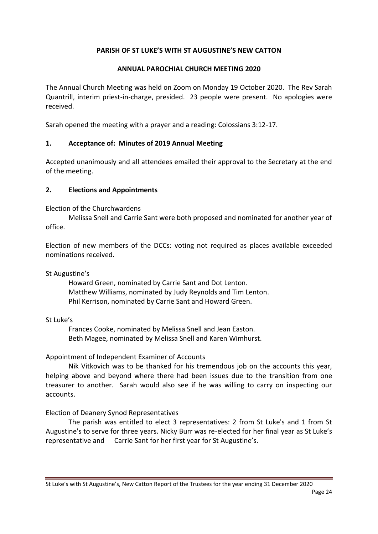# **PARISH OF ST LUKE'S WITH ST AUGUSTINE'S NEW CATTON**

## **ANNUAL PAROCHIAL CHURCH MEETING 2020**

The Annual Church Meeting was held on Zoom on Monday 19 October 2020. The Rev Sarah Quantrill, interim priest-in-charge, presided. 23 people were present. No apologies were received.

Sarah opened the meeting with a prayer and a reading: Colossians 3:12-17.

## **1. Acceptance of: Minutes of 2019 Annual Meeting**

Accepted unanimously and all attendees emailed their approval to the Secretary at the end of the meeting.

## **2. Elections and Appointments**

Election of the Churchwardens

Melissa Snell and Carrie Sant were both proposed and nominated for another year of office.

Election of new members of the DCCs: voting not required as places available exceeded nominations received.

#### St Augustine's

Howard Green, nominated by Carrie Sant and Dot Lenton. Matthew Williams, nominated by Judy Reynolds and Tim Lenton. Phil Kerrison, nominated by Carrie Sant and Howard Green.

## St Luke's

Frances Cooke, nominated by Melissa Snell and Jean Easton. Beth Magee, nominated by Melissa Snell and Karen Wimhurst.

## Appointment of Independent Examiner of Accounts

Nik Vitkovich was to be thanked for his tremendous job on the accounts this year, helping above and beyond where there had been issues due to the transition from one treasurer to another. Sarah would also see if he was willing to carry on inspecting our accounts.

## Election of Deanery Synod Representatives

The parish was entitled to elect 3 representatives: 2 from St Luke's and 1 from St Augustine's to serve for three years. Nicky Burr was re-elected for her final year as St Luke's representative and Carrie Sant for her first year for St Augustine's.